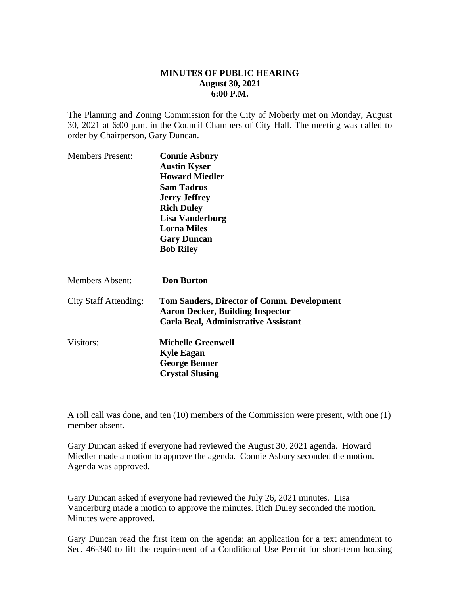## **MINUTES OF PUBLIC HEARING August 30, 2021 6:00 P.M.**

The Planning and Zoning Commission for the City of Moberly met on Monday, August 30, 2021 at 6:00 p.m. in the Council Chambers of City Hall. The meeting was called to order by Chairperson, Gary Duncan.

| <b>Connie Asbury</b><br><b>Austin Kyser</b><br><b>Howard Miedler</b><br><b>Sam Tadrus</b><br><b>Jerry Jeffrey</b><br><b>Rich Duley</b><br>Lisa Vanderburg<br><b>Lorna Miles</b> |
|---------------------------------------------------------------------------------------------------------------------------------------------------------------------------------|
| <b>Gary Duncan</b>                                                                                                                                                              |
| <b>Bob Riley</b>                                                                                                                                                                |
| <b>Don Burton</b>                                                                                                                                                               |
| <b>Tom Sanders, Director of Comm. Development</b><br><b>Aaron Decker, Building Inspector</b><br>Carla Beal, Administrative Assistant                                            |
| <b>Michelle Greenwell</b><br><b>Kyle Eagan</b><br><b>George Benner</b><br><b>Crystal Slusing</b>                                                                                |
|                                                                                                                                                                                 |

A roll call was done, and ten (10) members of the Commission were present, with one (1) member absent.

Gary Duncan asked if everyone had reviewed the August 30, 2021 agenda. Howard Miedler made a motion to approve the agenda. Connie Asbury seconded the motion. Agenda was approved.

Gary Duncan asked if everyone had reviewed the July 26, 2021 minutes. Lisa Vanderburg made a motion to approve the minutes. Rich Duley seconded the motion. Minutes were approved.

Gary Duncan read the first item on the agenda; an application for a text amendment to Sec. 46-340 to lift the requirement of a Conditional Use Permit for short-term housing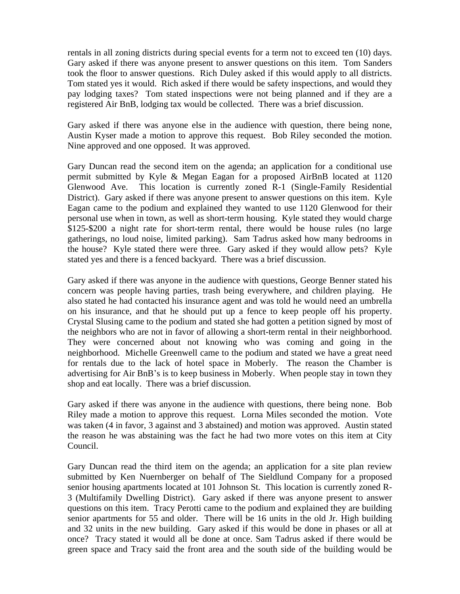rentals in all zoning districts during special events for a term not to exceed ten (10) days. Gary asked if there was anyone present to answer questions on this item. Tom Sanders took the floor to answer questions. Rich Duley asked if this would apply to all districts. Tom stated yes it would. Rich asked if there would be safety inspections, and would they pay lodging taxes? Tom stated inspections were not being planned and if they are a registered Air BnB, lodging tax would be collected. There was a brief discussion.

Gary asked if there was anyone else in the audience with question, there being none, Austin Kyser made a motion to approve this request. Bob Riley seconded the motion. Nine approved and one opposed. It was approved.

Gary Duncan read the second item on the agenda; an application for a conditional use permit submitted by Kyle & Megan Eagan for a proposed AirBnB located at 1120 Glenwood Ave. This location is currently zoned R-1 (Single-Family Residential District). Gary asked if there was anyone present to answer questions on this item. Kyle Eagan came to the podium and explained they wanted to use 1120 Glenwood for their personal use when in town, as well as short-term housing. Kyle stated they would charge \$125-\$200 a night rate for short-term rental, there would be house rules (no large gatherings, no loud noise, limited parking). Sam Tadrus asked how many bedrooms in the house? Kyle stated there were three. Gary asked if they would allow pets? Kyle stated yes and there is a fenced backyard. There was a brief discussion.

Gary asked if there was anyone in the audience with questions, George Benner stated his concern was people having parties, trash being everywhere, and children playing. He also stated he had contacted his insurance agent and was told he would need an umbrella on his insurance, and that he should put up a fence to keep people off his property. Crystal Slusing came to the podium and stated she had gotten a petition signed by most of the neighbors who are not in favor of allowing a short-term rental in their neighborhood. They were concerned about not knowing who was coming and going in the neighborhood. Michelle Greenwell came to the podium and stated we have a great need for rentals due to the lack of hotel space in Moberly. The reason the Chamber is advertising for Air BnB's is to keep business in Moberly. When people stay in town they shop and eat locally. There was a brief discussion.

Gary asked if there was anyone in the audience with questions, there being none. Bob Riley made a motion to approve this request. Lorna Miles seconded the motion. Vote was taken (4 in favor, 3 against and 3 abstained) and motion was approved. Austin stated the reason he was abstaining was the fact he had two more votes on this item at City Council.

Gary Duncan read the third item on the agenda; an application for a site plan review submitted by Ken Nuernberger on behalf of The Sieldlund Company for a proposed senior housing apartments located at 101 Johnson St. This location is currently zoned R-3 (Multifamily Dwelling District). Gary asked if there was anyone present to answer questions on this item. Tracy Perotti came to the podium and explained they are building senior apartments for 55 and older. There will be 16 units in the old Jr. High building and 32 units in the new building. Gary asked if this would be done in phases or all at once? Tracy stated it would all be done at once. Sam Tadrus asked if there would be green space and Tracy said the front area and the south side of the building would be